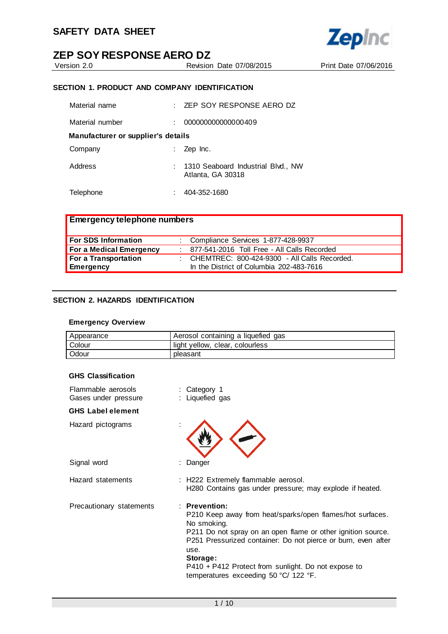

Version 2.0 Revision Date 07/08/2015 Print Date 07/06/2016

# **SECTION 1. PRODUCT AND COMPANY IDENTIFICATION**

| Material name                      | $\pm$ ZEP SOY RESPONSE AERO DZ                            |
|------------------------------------|-----------------------------------------------------------|
| Material number                    | 000000000000000409                                        |
| Manufacturer or supplier's details |                                                           |
| Company                            | Zep Inc.                                                  |
| Address                            | : 1310 Seaboard Industrial Blvd., NW<br>Atlanta, GA 30318 |
| Telephone                          | 404-352-1680                                              |

| <b>Emergency telephone numbers</b> |  |                                                |  |
|------------------------------------|--|------------------------------------------------|--|
| <b>For SDS Information</b>         |  | : Compliance Services 1-877-428-9937           |  |
| For a Medical Emergency            |  | 877-541-2016 Toll Free - All Calls Recorded    |  |
| For a Transportation               |  | : CHEMTREC: 800-424-9300 - All Calls Recorded. |  |
| <b>Emergency</b>                   |  | In the District of Columbia 202-483-7616       |  |

### **SECTION 2. HAZARDS IDENTIFICATION**

#### **Emergency Overview**

| Appearance | Aerosol containing a liquefied gas |
|------------|------------------------------------|
| Colour     | light yellow, clear, colourless    |
| Odour      | pleasant                           |

#### **GHS Classification**

| Flammable aerosols<br>Gases under pressure | : Category 1<br>: Liquefied gas                                                                                                                                                                                                                                                                                                                                    |
|--------------------------------------------|--------------------------------------------------------------------------------------------------------------------------------------------------------------------------------------------------------------------------------------------------------------------------------------------------------------------------------------------------------------------|
| <b>GHS Label element</b>                   |                                                                                                                                                                                                                                                                                                                                                                    |
| Hazard pictograms                          |                                                                                                                                                                                                                                                                                                                                                                    |
| Signal word                                | Danger                                                                                                                                                                                                                                                                                                                                                             |
| Hazard statements                          | : H222 Extremely flammable aerosol.<br>H280 Contains gas under pressure; may explode if heated.                                                                                                                                                                                                                                                                    |
| Precautionary statements                   | $:$ Prevention:<br>P210 Keep away from heat/sparks/open flames/hot surfaces.<br>No smoking.<br>P211 Do not spray on an open flame or other ignition source.<br>P251 Pressurized container: Do not pierce or burn, even after<br>use.<br>Storage:<br>P410 + P412 Protect from sunlight. Do not expose to<br>temperatures exceeding 50 $\degree$ C/ 122 $\degree$ F. |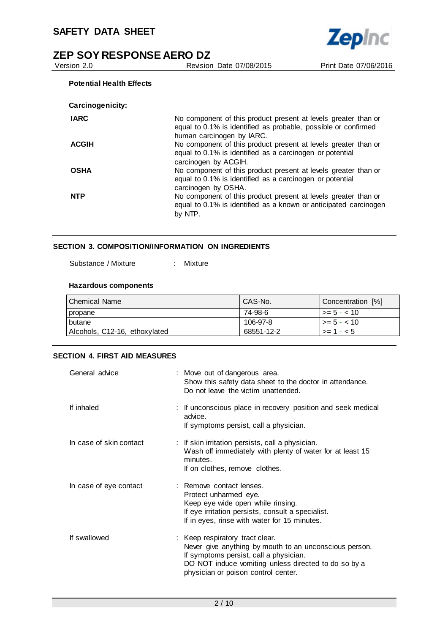

# **ZEP SOY RESPONSE AERO DZ**<br>
Version 2.0<br>
Revision

Revision Date 07/08/2015 Print Date 07/06/2016

### **Potential Health Effects**

| Carcinogenicity: |                                                                                                                                                                           |
|------------------|---------------------------------------------------------------------------------------------------------------------------------------------------------------------------|
| <b>IARC</b>      | No component of this product present at levels greater than or<br>equal to 0.1% is identified as probable, possible or confirmed<br>human carcinogen by IARC.             |
| <b>ACGIH</b>     | No component of this product present at levels greater than or<br>equal to 0.1% is identified as a carcinogen or potential                                                |
| <b>OSHA</b>      | carcinogen by ACGIH.<br>No component of this product present at levels greater than or<br>equal to 0.1% is identified as a carcinogen or potential<br>carcinogen by OSHA. |
| <b>NTP</b>       | No component of this product present at levels greater than or<br>equal to 0.1% is identified as a known or anticipated carcinogen<br>by NTP.                             |

# **SECTION 3. COMPOSITION/INFORMATION ON INGREDIENTS**

Substance / Mixture : Mixture

#### **Hazardous components**

| Chemical Name                 | CAS-No.    | Concentration [%]       |
|-------------------------------|------------|-------------------------|
| propane                       | 74-98-6    | $\vert$ >= 5 - < 10     |
| butane                        | 106-97-8   | $ >= 5 - < 10$          |
| Alcohols, C12-16, ethoxylated | 68551-12-2 | $\vert \rangle = 1 - 5$ |

#### **SECTION 4. FIRST AID MEASURES**

| General advice          | : Move out of dangerous area.<br>Show this safety data sheet to the doctor in attendance.<br>Do not leave the victim unattended.                                                                                                   |
|-------------------------|------------------------------------------------------------------------------------------------------------------------------------------------------------------------------------------------------------------------------------|
| If inhaled              | : If unconscious place in recovery position and seek medical<br>advice.<br>If symptoms persist, call a physician.                                                                                                                  |
| In case of skin contact | : If skin irritation persists, call a physician.<br>Wash off immediately with plenty of water for at least 15<br>minutes.<br>If on clothes, remove clothes.                                                                        |
| In case of eye contact  | : Remove contact lenses.<br>Protect unharmed eye.<br>Keep eye wide open while rinsing.<br>If eye irritation persists, consult a specialist.<br>If in eyes, rinse with water for 15 minutes.                                        |
| If swallowed            | : Keep respiratory tract clear.<br>Never give anything by mouth to an unconscious person.<br>If symptoms persist, call a physician.<br>DO NOT induce vomiting unless directed to do so by a<br>physician or poison control center. |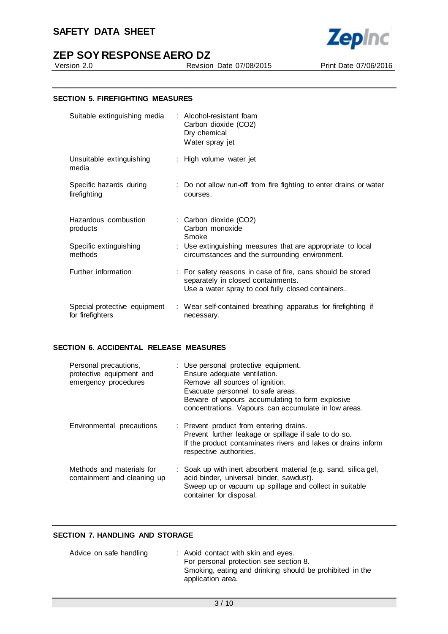# **SAFETY DATA SHEET**



Version 2.0 Revision Date 07/08/2015 Print Date 07/06/2016



### **SECTION 5. FIREFIGHTING MEASURES**

| Suitable extinguishing media                     | : Alcohol-resistant foam<br>Carbon dioxide (CO2)<br>Dry chemical<br>Water spray jet                                                                     |
|--------------------------------------------------|---------------------------------------------------------------------------------------------------------------------------------------------------------|
| Unsuitable extinguishing<br>media                | : High volume water jet                                                                                                                                 |
| Specific hazards during<br>firefighting          | : Do not allow run-off from fire fighting to enter drains or water<br>courses.                                                                          |
| Hazardous combustion<br>products                 | : Carbon dioxide (CO2)<br>Carbon monoxide<br>Smoke                                                                                                      |
| Specific extinguishing<br>methods                | : Use extinguishing measures that are appropriate to local<br>circumstances and the surrounding environment.                                            |
| Further information                              | : For safety reasons in case of fire, cans should be stored<br>separately in closed containments.<br>Use a water spray to cool fully closed containers. |
| Special protective equipment<br>for firefighters | : Wear self-contained breathing apparatus for firefighting if<br>necessary.                                                                             |

#### **SECTION 6. ACCIDENTAL RELEASE MEASURES**

| Personal precautions,<br>protective equipment and<br>emergency procedures | : Use personal protective equipment.<br>Ensure adequate ventilation.<br>Remove all sources of ignition.<br>Evacuate personnel to safe areas.<br>Beware of vapours accumulating to form explosive<br>concentrations. Vapours can accumulate in low areas. |
|---------------------------------------------------------------------------|----------------------------------------------------------------------------------------------------------------------------------------------------------------------------------------------------------------------------------------------------------|
| Environmental precautions                                                 | : Prevent product from entering drains.<br>Prevent further leakage or spillage if safe to do so.<br>If the product contaminates rivers and lakes or drains inform<br>respective authorities.                                                             |
| Methods and materials for<br>containment and cleaning up                  | : Soak up with inert absorbent material (e.g. sand, silica gel,<br>acid binder, universal binder, sawdust).<br>Sweep up or vacuum up spillage and collect in suitable<br>container for disposal.                                                         |

### **SECTION 7. HANDLING AND STORAGE**

| : Avoid contact with skin and eyes.                                           |
|-------------------------------------------------------------------------------|
| For personal protection see section 8.                                        |
| Smoking, eating and drinking should be prohibited in the<br>application area. |
|                                                                               |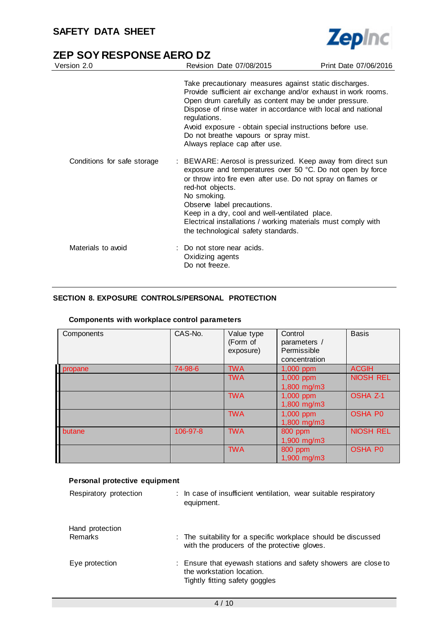

| Version 2.0                 | Revision Date 07/08/2015                                                                                                                                                                                                                                                                                                                                                                                             | Print Date 07/06/2016 |
|-----------------------------|----------------------------------------------------------------------------------------------------------------------------------------------------------------------------------------------------------------------------------------------------------------------------------------------------------------------------------------------------------------------------------------------------------------------|-----------------------|
|                             | Take precautionary measures against static discharges.<br>Provide sufficient air exchange and/or exhaust in work rooms.<br>Open drum carefully as content may be under pressure.<br>Dispose of rinse water in accordance with local and national<br>regulations.<br>Avoid exposure - obtain special instructions before use.<br>Do not breathe vapours or spray mist.<br>Always replace cap after use.               |                       |
| Conditions for safe storage | : BEWARE: Aerosol is pressurized. Keep away from direct sun<br>exposure and temperatures over 50 °C. Do not open by force<br>or throw into fire even after use. Do not spray on flames or<br>red-hot objects.<br>No smoking.<br>Observe label precautions.<br>Keep in a dry, cool and well-ventilated place.<br>Electrical installations / working materials must comply with<br>the technological safety standards. |                       |
| Materials to avoid          | : Do not store near acids.<br>Oxidizing agents<br>Do not freeze.                                                                                                                                                                                                                                                                                                                                                     |                       |

# **SECTION 8. EXPOSURE CONTROLS/PERSONAL PROTECTION**

| Components | CAS-No.  | Value type<br>(Form of<br>exposure) | Control<br>parameters /<br>Permissible<br>concentration | <b>Basis</b>     |
|------------|----------|-------------------------------------|---------------------------------------------------------|------------------|
| propane    | 74-98-6  | <b>TWA</b>                          | 1,000 ppm                                               | <b>ACGIH</b>     |
|            |          | <b>TWA</b>                          | 1,000 ppm<br>1,800 mg/m3                                | <b>NIOSH REL</b> |
|            |          | <b>TWA</b>                          | 1,000 ppm<br>1,800 mg/m3                                | <b>OSHA Z-1</b>  |
|            |          | <b>TWA</b>                          | 1,000 ppm<br>1,800 mg/m3                                | <b>OSHA P0</b>   |
| butane     | 106-97-8 | <b>TWA</b>                          | 800 ppm<br>1,900 mg/m3                                  | <b>NIOSH REL</b> |
|            |          | <b>TWA</b>                          | 800 ppm<br>1,900 mg/m3                                  | <b>OSHA P0</b>   |

#### **Components with workplace control parameters**

| Personal protective equipment |                                                                                                                               |  |  |
|-------------------------------|-------------------------------------------------------------------------------------------------------------------------------|--|--|
| Respiratory protection        | : In case of insufficient ventilation, wear suitable respiratory<br>equipment.                                                |  |  |
| Hand protection<br>Remarks    | : The suitability for a specific workplace should be discussed<br>with the producers of the protective gloves.                |  |  |
| Eye protection                | : Ensure that eyewash stations and safety showers are close to<br>the workstation location.<br>Tightly fitting safety goggles |  |  |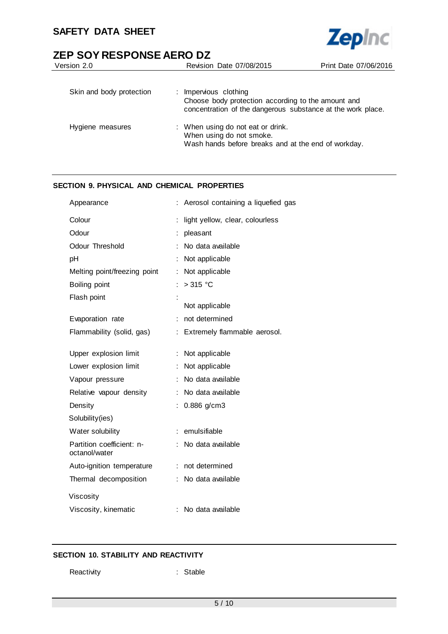

| Version 2.0              | Revision Date 07/08/2015                                                                                                                   | Print Date 07/06/2016 |
|--------------------------|--------------------------------------------------------------------------------------------------------------------------------------------|-----------------------|
| Skin and body protection | : Impervious clothing<br>Choose body protection according to the amount and<br>concentration of the dangerous substance at the work place. |                       |
| Hygiene measures         | : When using do not eat or drink.<br>When using do not smoke.<br>Wash hands before breaks and at the end of workday.                       |                       |

# **SECTION 9. PHYSICAL AND CHEMICAL PROPERTIES**

| Appearance                                 |    | Aerosol containing a liquefied gas |
|--------------------------------------------|----|------------------------------------|
| Colour                                     |    | light yellow, clear, colourless    |
| Odour                                      |    | pleasant                           |
| Odour Threshold                            |    | No data available                  |
| рH                                         |    | Not applicable                     |
| Melting point/freezing point               | ÷  | Not applicable                     |
| Boiling point                              | ÷  | $>315$ °C                          |
| Flash point                                | İ  |                                    |
|                                            |    | Not applicable                     |
| Evaporation rate                           | ÷  | not determined                     |
| Flammability (solid, gas)                  | t. | Extremely flammable aerosol.       |
|                                            |    |                                    |
| Upper explosion limit                      |    | Not applicable                     |
| Lower explosion limit                      | ÷  | Not applicable                     |
| Vapour pressure                            |    | No data available                  |
| Relative vapour density                    |    | No data available                  |
| Density                                    |    | 0.886 g/cm3                        |
| Solubility(ies)                            |    |                                    |
| Water solubility                           |    | emulsifiable                       |
| Partition coefficient: n-<br>octanol/water |    | No data available                  |
| Auto-ignition temperature                  |    | : not determined                   |
| Thermal decomposition                      |    | No data available                  |
| Viscosity                                  |    |                                    |
| Viscosity, kinematic                       | t. | No data available                  |
|                                            |    |                                    |

# **SECTION 10. STABILITY AND REACTIVITY**

Reactivity : Stable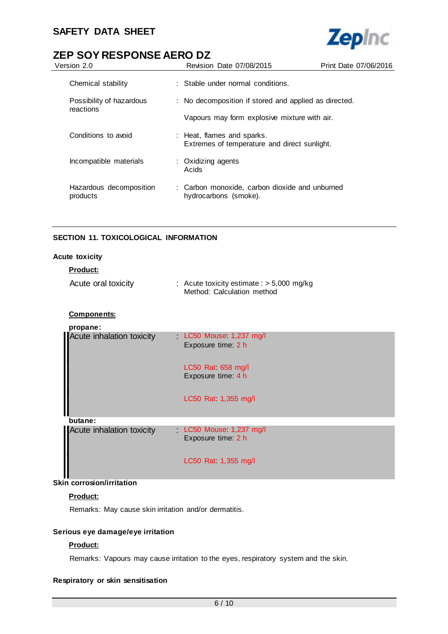

| Version 2.0                         | Revision Date 07/08/2015                                                   | Print Date 07/06/2016 |
|-------------------------------------|----------------------------------------------------------------------------|-----------------------|
| Chemical stability                  | : Stable under normal conditions.                                          |                       |
| Possibility of hazardous            | : No decomposition if stored and applied as directed.                      |                       |
| reactions                           | Vapours may form explosive mixture with air.                               |                       |
| Conditions to avoid                 | : Heat, flames and sparks.<br>Extremes of temperature and direct sunlight. |                       |
| Incompatible materials              | : Oxidizing agents<br>Acids                                                |                       |
| Hazardous decomposition<br>products | : Carbon monoxide, carbon dioxide and unburned<br>hydrocarbons (smoke).    |                       |

# **SECTION 11. TOXICOLOGICAL INFORMATION**

# **Acute toxicity**

#### **Product:**

| Acute oral toxicity |  | : Acute toxicity estimate : $>$ 5,000 mg/kg<br>Method: Calculation method |
|---------------------|--|---------------------------------------------------------------------------|
|---------------------|--|---------------------------------------------------------------------------|

# **Components:**

| propane:                  |                                             |
|---------------------------|---------------------------------------------|
| Acute inhalation toxicity | LC50 Mouse 1,237 mg/l<br>Exposure time: 2 h |
|                           | LC50 Rat $658$ mg/l<br>Exposure time: 4 h   |
|                           | LC50 Rat 1,355 mg/l                         |
| butane:                   |                                             |
| Acute inhalation toxicity | LC50 Mouse 1,237 mg/l<br>Exposure time: 2 h |
|                           | LC50 Rat 1,355 mg/l                         |

# **Skin corrosion/irritation**

### **Product:**

Remarks: May cause skin irritation and/or dermatitis.

# **Serious eye damage/eye irritation**

# **Product:**

Remarks: Vapours may cause irritation to the eyes, respiratory system and the skin.

# **Respiratory or skin sensitisation**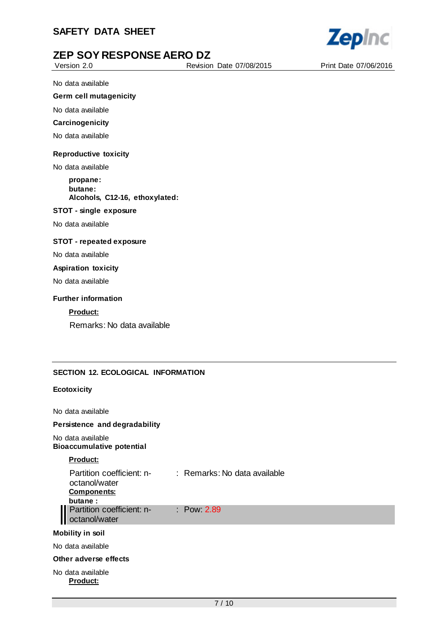

Version 2.0 Revision Date 07/08/2015 Print Date 07/06/2016

No data available

#### **Germ cell mutagenicity**

No data available

#### **Carcinogenicity**

No data available

#### **Reproductive toxicity**

No data available

#### **propane: butane: Alcohols, C12-16, ethoxylated:**

#### **STOT - single exposure**

No data available

#### **STOT - repeated exposure**

No data available

#### **Aspiration toxicity**

No data available

#### **Further information**

# **Product:**

Remarks: No data available

### **SECTION 12. ECOLOGICAL INFORMATION**

#### **Ecotoxicity**

No data available

#### **Persistence and degradability**

#### No data available **Bioaccumulative potential**

#### **Product:**

| Partition coefficient: n- | : Remarks: No data available |
|---------------------------|------------------------------|
| octanol/water             |                              |
| <b>Components:</b>        |                              |
| butane:                   |                              |
| Partition coefficient: n- | : Pow $2.89$                 |
| octanol/water             |                              |

#### **Mobility in soil**

No data available

#### **Other adverse effects**

No data available **Product:**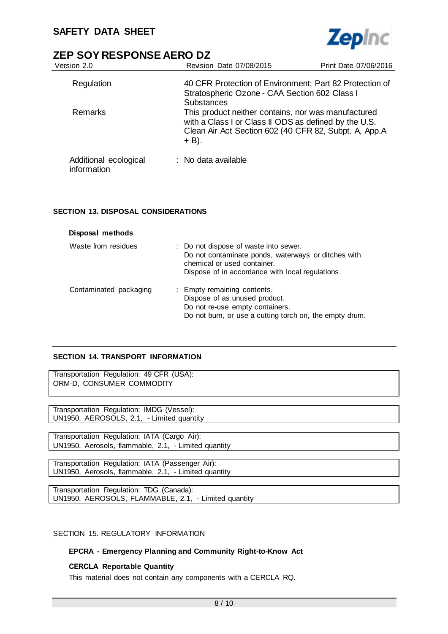

| Version 2.0                          | Revision Date 07/08/2015                                                                                                                                                          | Print Date 07/06/2016 |
|--------------------------------------|-----------------------------------------------------------------------------------------------------------------------------------------------------------------------------------|-----------------------|
| Regulation                           | 40 CFR Protection of Environment; Part 82 Protection of<br>Stratospheric Ozone - CAA Section 602 Class I                                                                          |                       |
|                                      | <b>Substances</b>                                                                                                                                                                 |                       |
| <b>Remarks</b>                       | This product neither contains, nor was manufactured<br>with a Class I or Class II ODS as defined by the U.S.<br>Clean Air Act Section 602 (40 CFR 82, Subpt. A, App.A<br>$+ B$ ). |                       |
| Additional ecological<br>information | $:$ No data available                                                                                                                                                             |                       |

### **SECTION 13. DISPOSAL CONSIDERATIONS**

| Disposal methods       |                                                                                                                                                                                 |
|------------------------|---------------------------------------------------------------------------------------------------------------------------------------------------------------------------------|
| Waste from residues    | : Do not dispose of waste into sewer.<br>Do not contaminate ponds, waterways or ditches with<br>chemical or used container.<br>Dispose of in accordance with local regulations. |
| Contaminated packaging | : Empty remaining contents.<br>Dispose of as unused product.<br>Do not re-use empty containers.<br>Do not burn, or use a cutting torch on, the empty drum.                      |

# **SECTION 14. TRANSPORT INFORMATION**

Transportation Regulation: 49 CFR (USA): ORM-D, CONSUMER COMMODITY

Transportation Regulation: IMDG (Vessel): UN1950, AEROSOLS, 2.1, - Limited quantity

Transportation Regulation: IATA (Cargo Air): UN1950, Aerosols, flammable, 2.1, - Limited quantity

Transportation Regulation: IATA (Passenger Air): UN1950, Aerosols, flammable, 2.1, - Limited quantity

Transportation Regulation: TDG (Canada): UN1950, AEROSOLS, FLAMMABLE, 2.1, - Limited quantity

# SECTION 15. REGULATORY INFORMATION

### **EPCRA - Emergency Planning and Community Right-to-Know Act**

### **CERCLA Reportable Quantity**

This material does not contain any components with a CERCLA RQ.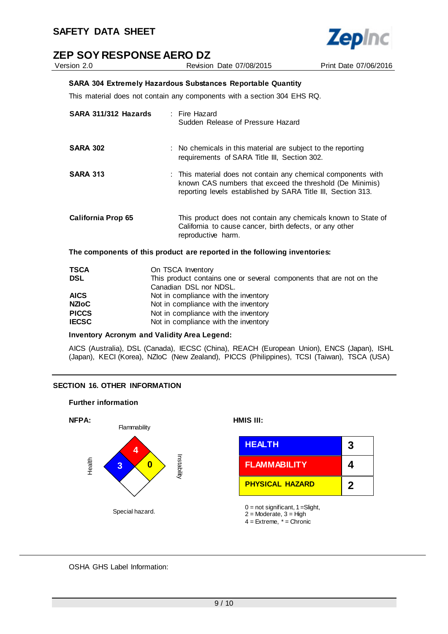

Version 2.0 Revision Date 07/08/2015 Print Date 07/06/2016 **SARA 304 Extremely Hazardous Substances Reportable Quantity** This material does not contain any components with a section 304 EHS RQ.

| SARA 311/312 Hazards | : Fire Hazard<br>Sudden Release of Pressure Hazard                                                                                                                                        |
|----------------------|-------------------------------------------------------------------------------------------------------------------------------------------------------------------------------------------|
| <b>SARA 302</b>      | : No chemicals in this material are subject to the reporting<br>requirements of SARA Title III, Section 302.                                                                              |
| <b>SARA 313</b>      | : This material does not contain any chemical components with<br>known CAS numbers that exceed the threshold (De Minimis)<br>reporting levels established by SARA Title III, Section 313. |
| California Prop 65   | This product does not contain any chemicals known to State of<br>California to cause cancer, birth defects, or any other<br>reproductive harm.                                            |

**The components of this product are reported in the following inventories:**

| <b>TSCA</b>  | On TSCA Inventory                                                   |
|--------------|---------------------------------------------------------------------|
| <b>DSL</b>   | This product contains one or several components that are not on the |
|              | Canadian DSL nor NDSL.                                              |
| <b>AICS</b>  | Not in compliance with the inventory                                |
| <b>NZIOC</b> | Not in compliance with the inventory                                |
| <b>PICCS</b> | Not in compliance with the inventory                                |
| <b>IECSC</b> | Not in compliance with the inventory                                |

### **Inventory Acronym and Validity Area Legend:**

AICS (Australia), DSL (Canada), IECSC (China), REACH (European Union), ENCS (Japan), ISHL (Japan), KECI (Korea), NZIoC (New Zealand), PICCS (Philippines), TCSI (Taiwan), TSCA (USA)

### **SECTION 16. OTHER INFORMATION**

#### **Further information**



OSHA GHS Label Information: